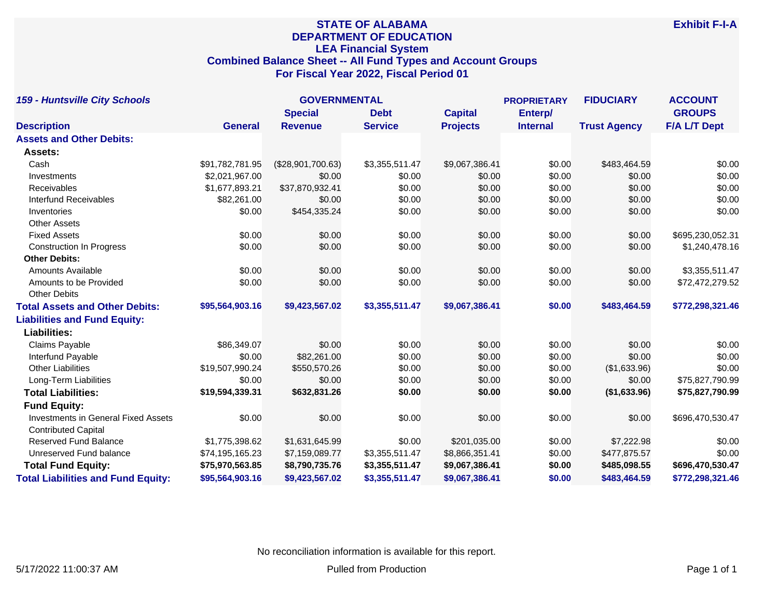# **STATE OF ALABAMA DEPARTMENT OF EDUCATION LEA Financial System Combined Balance Sheet -- All Fund Types and Account Groups For Fiscal Year 2022, Fiscal Period 01**

| <b>159 - Huntsville City Schools</b>       |                 | <b>GOVERNMENTAL</b> |                |                 |                 | <b>FIDUCIARY</b>    | <b>ACCOUNT</b>      |
|--------------------------------------------|-----------------|---------------------|----------------|-----------------|-----------------|---------------------|---------------------|
|                                            |                 | <b>Special</b>      | <b>Debt</b>    | <b>Capital</b>  | Enterp/         |                     | <b>GROUPS</b>       |
| <b>Description</b>                         | <b>General</b>  | <b>Revenue</b>      | <b>Service</b> | <b>Projects</b> | <b>Internal</b> | <b>Trust Agency</b> | <b>F/A L/T Dept</b> |
| <b>Assets and Other Debits:</b>            |                 |                     |                |                 |                 |                     |                     |
| Assets:                                    |                 |                     |                |                 |                 |                     |                     |
| Cash                                       | \$91,782,781.95 | (\$28,901,700.63)   | \$3,355,511.47 | \$9,067,386.41  | \$0.00          | \$483,464.59        | \$0.00              |
| Investments                                | \$2,021,967.00  | \$0.00              | \$0.00         | \$0.00          | \$0.00          | \$0.00              | \$0.00              |
| Receivables                                | \$1,677,893.21  | \$37,870,932.41     | \$0.00         | \$0.00          | \$0.00          | \$0.00              | \$0.00              |
| <b>Interfund Receivables</b>               | \$82,261.00     | \$0.00              | \$0.00         | \$0.00          | \$0.00          | \$0.00              | \$0.00              |
| Inventories                                | \$0.00          | \$454,335.24        | \$0.00         | \$0.00          | \$0.00          | \$0.00              | \$0.00              |
| <b>Other Assets</b>                        |                 |                     |                |                 |                 |                     |                     |
| <b>Fixed Assets</b>                        | \$0.00          | \$0.00              | \$0.00         | \$0.00          | \$0.00          | \$0.00              | \$695,230,052.31    |
| <b>Construction In Progress</b>            | \$0.00          | \$0.00              | \$0.00         | \$0.00          | \$0.00          | \$0.00              | \$1,240,478.16      |
| <b>Other Debits:</b>                       |                 |                     |                |                 |                 |                     |                     |
| <b>Amounts Available</b>                   | \$0.00          | \$0.00              | \$0.00         | \$0.00          | \$0.00          | \$0.00              | \$3,355,511.47      |
| Amounts to be Provided                     | \$0.00          | \$0.00              | \$0.00         | \$0.00          | \$0.00          | \$0.00              | \$72,472,279.52     |
| <b>Other Debits</b>                        |                 |                     |                |                 |                 |                     |                     |
| <b>Total Assets and Other Debits:</b>      | \$95,564,903.16 | \$9,423,567.02      | \$3,355,511.47 | \$9,067,386.41  | \$0.00          | \$483,464.59        | \$772,298,321.46    |
| <b>Liabilities and Fund Equity:</b>        |                 |                     |                |                 |                 |                     |                     |
| <b>Liabilities:</b>                        |                 |                     |                |                 |                 |                     |                     |
| Claims Payable                             | \$86,349.07     | \$0.00              | \$0.00         | \$0.00          | \$0.00          | \$0.00              | \$0.00              |
| Interfund Payable                          | \$0.00          | \$82,261.00         | \$0.00         | \$0.00          | \$0.00          | \$0.00              | \$0.00              |
| <b>Other Liabilities</b>                   | \$19,507,990.24 | \$550,570.26        | \$0.00         | \$0.00          | \$0.00          | (\$1,633.96)        | \$0.00              |
| Long-Term Liabilities                      | \$0.00          | \$0.00              | \$0.00         | \$0.00          | \$0.00          | \$0.00              | \$75,827,790.99     |
| <b>Total Liabilities:</b>                  | \$19,594,339.31 | \$632,831.26        | \$0.00         | \$0.00          | \$0.00          | (\$1,633.96)        | \$75,827,790.99     |
| <b>Fund Equity:</b>                        |                 |                     |                |                 |                 |                     |                     |
| <b>Investments in General Fixed Assets</b> | \$0.00          | \$0.00              | \$0.00         | \$0.00          | \$0.00          | \$0.00              | \$696,470,530.47    |
| <b>Contributed Capital</b>                 |                 |                     |                |                 |                 |                     |                     |
| Reserved Fund Balance                      | \$1,775,398.62  | \$1,631,645.99      | \$0.00         | \$201,035.00    | \$0.00          | \$7,222.98          | \$0.00              |
| Unreserved Fund balance                    | \$74,195,165.23 | \$7,159,089.77      | \$3,355,511.47 | \$8,866,351.41  | \$0.00          | \$477,875.57        | \$0.00              |
| <b>Total Fund Equity:</b>                  | \$75,970,563.85 | \$8,790,735.76      | \$3,355,511.47 | \$9,067,386.41  | \$0.00          | \$485,098.55        | \$696,470,530.47    |
| <b>Total Liabilities and Fund Equity:</b>  | \$95,564,903.16 | \$9,423,567.02      | \$3,355,511.47 | \$9.067.386.41  | \$0.00          | \$483,464.59        | \$772,298,321.46    |

No reconciliation information is available for this report.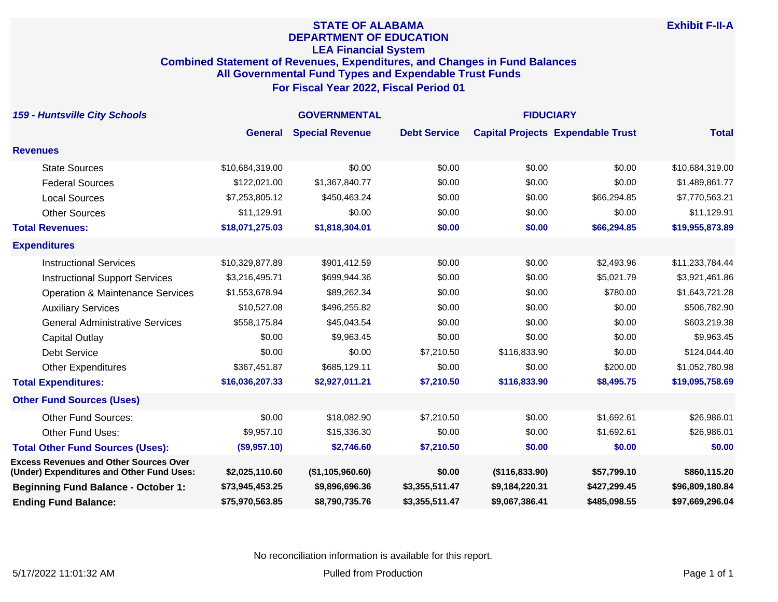### **STATE OF ALABAMA DEPARTMENT OF EDUCATION LEA Financial System Combined Statement of Revenues, Expenditures, and Changes in Fund Balances All Governmental Fund Types and Expendable Trust Funds For Fiscal Year 2022, Fiscal Period 01**

| <b>159 - Huntsville City Schools</b>                                                       | <b>GOVERNMENTAL</b> |                        |                     | <b>FIDUCIARY</b> |                                          |                 |
|--------------------------------------------------------------------------------------------|---------------------|------------------------|---------------------|------------------|------------------------------------------|-----------------|
|                                                                                            | <b>General</b>      | <b>Special Revenue</b> | <b>Debt Service</b> |                  | <b>Capital Projects Expendable Trust</b> | <b>Total</b>    |
| <b>Revenues</b>                                                                            |                     |                        |                     |                  |                                          |                 |
| <b>State Sources</b>                                                                       | \$10,684,319.00     | \$0.00                 | \$0.00              | \$0.00           | \$0.00                                   | \$10,684,319.00 |
| <b>Federal Sources</b>                                                                     | \$122,021.00        | \$1,367,840.77         | \$0.00              | \$0.00           | \$0.00                                   | \$1,489,861.77  |
| <b>Local Sources</b>                                                                       | \$7,253,805.12      | \$450,463.24           | \$0.00              | \$0.00           | \$66,294.85                              | \$7,770,563.21  |
| <b>Other Sources</b>                                                                       | \$11,129.91         | \$0.00                 | \$0.00              | \$0.00           | \$0.00                                   | \$11,129.91     |
| <b>Total Revenues:</b>                                                                     | \$18,071,275.03     | \$1,818,304.01         | \$0.00              | \$0.00           | \$66,294.85                              | \$19,955,873.89 |
| <b>Expenditures</b>                                                                        |                     |                        |                     |                  |                                          |                 |
| <b>Instructional Services</b>                                                              | \$10,329,877.89     | \$901,412.59           | \$0.00              | \$0.00           | \$2,493.96                               | \$11,233,784.44 |
| <b>Instructional Support Services</b>                                                      | \$3,216,495.71      | \$699,944.36           | \$0.00              | \$0.00           | \$5,021.79                               | \$3,921,461.86  |
| <b>Operation &amp; Maintenance Services</b>                                                | \$1,553,678.94      | \$89,262.34            | \$0.00              | \$0.00           | \$780.00                                 | \$1,643,721.28  |
| <b>Auxiliary Services</b>                                                                  | \$10,527.08         | \$496,255.82           | \$0.00              | \$0.00           | \$0.00                                   | \$506,782.90    |
| <b>General Administrative Services</b>                                                     | \$558,175.84        | \$45,043.54            | \$0.00              | \$0.00           | \$0.00                                   | \$603,219.38    |
| <b>Capital Outlay</b>                                                                      | \$0.00              | \$9,963.45             | \$0.00              | \$0.00           | \$0.00                                   | \$9,963.45      |
| Debt Service                                                                               | \$0.00              | \$0.00                 | \$7,210.50          | \$116,833.90     | \$0.00                                   | \$124,044.40    |
| <b>Other Expenditures</b>                                                                  | \$367,451.87        | \$685,129.11           | \$0.00              | \$0.00           | \$200.00                                 | \$1,052,780.98  |
| <b>Total Expenditures:</b>                                                                 | \$16,036,207.33     | \$2,927,011.21         | \$7,210.50          | \$116,833.90     | \$8,495.75                               | \$19,095,758.69 |
| <b>Other Fund Sources (Uses)</b>                                                           |                     |                        |                     |                  |                                          |                 |
| <b>Other Fund Sources:</b>                                                                 | \$0.00              | \$18,082.90            | \$7,210.50          | \$0.00           | \$1,692.61                               | \$26,986.01     |
| Other Fund Uses:                                                                           | \$9,957.10          | \$15,336.30            | \$0.00              | \$0.00           | \$1,692.61                               | \$26,986.01     |
| <b>Total Other Fund Sources (Uses):</b>                                                    | (\$9,957.10)        | \$2,746.60             | \$7,210.50          | \$0.00           | \$0.00                                   | \$0.00          |
| <b>Excess Revenues and Other Sources Over</b><br>(Under) Expenditures and Other Fund Uses: | \$2,025,110.60      | (\$1,105,960.60)       | \$0.00              | (\$116,833.90)   | \$57,799.10                              | \$860,115.20    |
| <b>Beginning Fund Balance - October 1:</b>                                                 | \$73,945,453.25     | \$9,896,696.36         | \$3,355,511.47      | \$9,184,220.31   | \$427,299.45                             | \$96,809,180.84 |
| <b>Ending Fund Balance:</b>                                                                | \$75,970,563.85     | \$8,790,735.76         | \$3,355,511.47      | \$9,067,386.41   | \$485,098.55                             | \$97,669,296.04 |

No reconciliation information is available for this report.

**Exhibit F-II-A**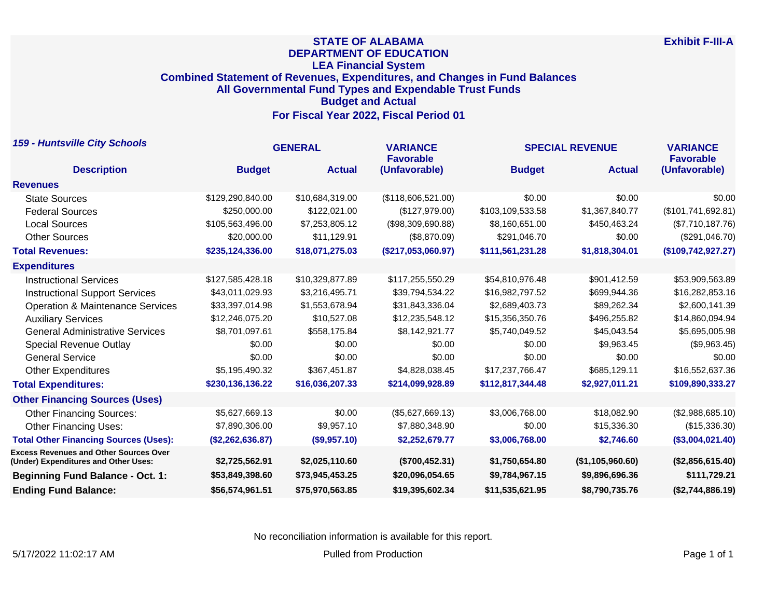## **STATE OF ALABAMA DEPARTMENT OF EDUCATION LEA Financial System Combined Statement of Revenues, Expenditures, and Changes in Fund Balances All Governmental Fund Types and Expendable Trust Funds Budget and Actual For Fiscal Year 2022, Fiscal Period 01**

| <b>159 - Huntsville City Schools</b>                                                  | <b>GENERAL</b>   |                 | <b>VARIANCE</b><br><b>Favorable</b> | <b>SPECIAL REVENUE</b> | <b>VARIANCE</b><br><b>Favorable</b> |                    |
|---------------------------------------------------------------------------------------|------------------|-----------------|-------------------------------------|------------------------|-------------------------------------|--------------------|
| <b>Description</b>                                                                    | <b>Budget</b>    | <b>Actual</b>   | (Unfavorable)                       | <b>Budget</b>          | <b>Actual</b>                       | (Unfavorable)      |
| <b>Revenues</b>                                                                       |                  |                 |                                     |                        |                                     |                    |
| <b>State Sources</b>                                                                  | \$129,290,840.00 | \$10,684,319.00 | (\$118,606,521.00)                  | \$0.00                 | \$0.00                              | \$0.00             |
| <b>Federal Sources</b>                                                                | \$250,000.00     | \$122,021.00    | (\$127,979.00)                      | \$103,109,533.58       | \$1,367,840.77                      | (\$101,741,692.81) |
| <b>Local Sources</b>                                                                  | \$105,563,496.00 | \$7,253,805.12  | (\$98,309,690.88)                   | \$8,160,651.00         | \$450,463.24                        | (\$7,710,187.76)   |
| <b>Other Sources</b>                                                                  | \$20,000.00      | \$11,129.91     | (\$8,870.09)                        | \$291,046.70           | \$0.00                              | (\$291,046.70)     |
| <b>Total Revenues:</b>                                                                | \$235,124,336.00 | \$18,071,275.03 | (\$217,053,060.97)                  | \$111,561,231.28       | \$1,818,304.01                      | (\$109,742,927.27) |
| <b>Expenditures</b>                                                                   |                  |                 |                                     |                        |                                     |                    |
| <b>Instructional Services</b>                                                         | \$127,585,428.18 | \$10,329,877.89 | \$117,255,550.29                    | \$54,810,976.48        | \$901,412.59                        | \$53,909,563.89    |
| <b>Instructional Support Services</b>                                                 | \$43,011,029.93  | \$3,216,495.71  | \$39,794,534.22                     | \$16,982,797.52        | \$699,944.36                        | \$16,282,853.16    |
| <b>Operation &amp; Maintenance Services</b>                                           | \$33,397,014.98  | \$1,553,678.94  | \$31,843,336.04                     | \$2,689,403.73         | \$89,262.34                         | \$2,600,141.39     |
| <b>Auxiliary Services</b>                                                             | \$12,246,075.20  | \$10,527.08     | \$12,235,548.12                     | \$15,356,350.76        | \$496,255.82                        | \$14,860,094.94    |
| <b>General Administrative Services</b>                                                | \$8,701,097.61   | \$558,175.84    | \$8,142,921.77                      | \$5,740,049.52         | \$45,043.54                         | \$5,695,005.98     |
| <b>Special Revenue Outlay</b>                                                         | \$0.00           | \$0.00          | \$0.00                              | \$0.00                 | \$9,963.45                          | (\$9,963.45)       |
| <b>General Service</b>                                                                | \$0.00           | \$0.00          | \$0.00                              | \$0.00                 | \$0.00                              | \$0.00             |
| <b>Other Expenditures</b>                                                             | \$5,195,490.32   | \$367,451.87    | \$4,828,038.45                      | \$17,237,766.47        | \$685,129.11                        | \$16,552,637.36    |
| <b>Total Expenditures:</b>                                                            | \$230,136,136.22 | \$16,036,207.33 | \$214,099,928.89                    | \$112,817,344.48       | \$2,927,011.21                      | \$109,890,333.27   |
| <b>Other Financing Sources (Uses)</b>                                                 |                  |                 |                                     |                        |                                     |                    |
| <b>Other Financing Sources:</b>                                                       | \$5,627,669.13   | \$0.00          | (\$5,627,669.13)                    | \$3,006,768.00         | \$18,082.90                         | (\$2,988,685.10)   |
| <b>Other Financing Uses:</b>                                                          | \$7,890,306.00   | \$9,957.10      | \$7,880,348.90                      | \$0.00                 | \$15,336.30                         | (\$15,336.30)      |
| <b>Total Other Financing Sources (Uses):</b>                                          | (\$2,262,636.87) | (\$9,957.10)    | \$2,252,679.77                      | \$3,006,768.00         | \$2,746.60                          | (\$3,004,021.40)   |
| <b>Excess Revenues and Other Sources Over</b><br>(Under) Expenditures and Other Uses: | \$2,725,562.91   | \$2,025,110.60  | (\$700,452.31)                      | \$1,750,654.80         | (\$1,105,960.60)                    | (\$2,856,615.40)   |
| <b>Beginning Fund Balance - Oct. 1:</b>                                               | \$53,849,398.60  | \$73,945,453.25 | \$20,096,054.65                     | \$9,784,967.15         | \$9,896,696.36                      | \$111,729.21       |
| <b>Ending Fund Balance:</b>                                                           | \$56,574,961.51  | \$75,970,563.85 | \$19,395,602.34                     | \$11,535,621.95        | \$8,790,735.76                      | (\$2,744,886.19)   |

No reconciliation information is available for this report.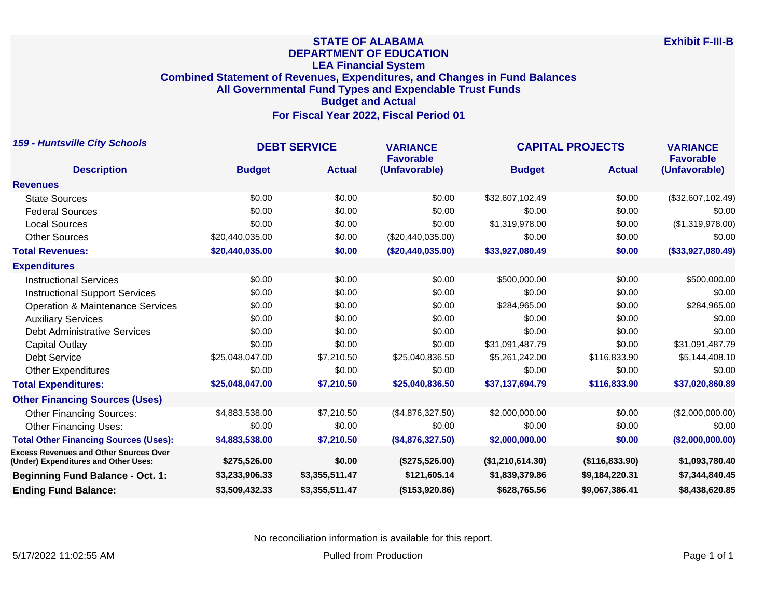## **STATE OF ALABAMA DEPARTMENT OF EDUCATION LEA Financial System Combined Statement of Revenues, Expenditures, and Changes in Fund Balances All Governmental Fund Types and Expendable Trust Funds Budget and Actual For Fiscal Year 2022, Fiscal Period 01**

| <b>159 - Huntsville City Schools</b>                                                  | <b>DEBT SERVICE</b> |                | <b>VARIANCE</b><br><b>Favorable</b> | <b>CAPITAL PROJECTS</b> |                | <b>VARIANCE</b><br><b>Favorable</b> |
|---------------------------------------------------------------------------------------|---------------------|----------------|-------------------------------------|-------------------------|----------------|-------------------------------------|
| <b>Description</b>                                                                    | <b>Budget</b>       | <b>Actual</b>  | (Unfavorable)                       | <b>Budget</b>           | <b>Actual</b>  | (Unfavorable)                       |
| <b>Revenues</b>                                                                       |                     |                |                                     |                         |                |                                     |
| <b>State Sources</b>                                                                  | \$0.00              | \$0.00         | \$0.00                              | \$32,607,102.49         | \$0.00         | (\$32,607,102.49)                   |
| <b>Federal Sources</b>                                                                | \$0.00              | \$0.00         | \$0.00                              | \$0.00                  | \$0.00         | \$0.00                              |
| <b>Local Sources</b>                                                                  | \$0.00              | \$0.00         | \$0.00                              | \$1,319,978.00          | \$0.00         | (\$1,319,978.00)                    |
| <b>Other Sources</b>                                                                  | \$20,440,035.00     | \$0.00         | $(\$20,440,035.00)$                 | \$0.00                  | \$0.00         | \$0.00                              |
| <b>Total Revenues:</b>                                                                | \$20,440,035.00     | \$0.00         | (\$20,440,035.00)                   | \$33,927,080.49         | \$0.00         | (\$33,927,080.49)                   |
| <b>Expenditures</b>                                                                   |                     |                |                                     |                         |                |                                     |
| <b>Instructional Services</b>                                                         | \$0.00              | \$0.00         | \$0.00                              | \$500,000.00            | \$0.00         | \$500,000.00                        |
| <b>Instructional Support Services</b>                                                 | \$0.00              | \$0.00         | \$0.00                              | \$0.00                  | \$0.00         | \$0.00                              |
| <b>Operation &amp; Maintenance Services</b>                                           | \$0.00              | \$0.00         | \$0.00                              | \$284,965.00            | \$0.00         | \$284,965.00                        |
| <b>Auxiliary Services</b>                                                             | \$0.00              | \$0.00         | \$0.00                              | \$0.00                  | \$0.00         | \$0.00                              |
| <b>Debt Administrative Services</b>                                                   | \$0.00              | \$0.00         | \$0.00                              | \$0.00                  | \$0.00         | \$0.00                              |
| Capital Outlay                                                                        | \$0.00              | \$0.00         | \$0.00                              | \$31,091,487.79         | \$0.00         | \$31,091,487.79                     |
| <b>Debt Service</b>                                                                   | \$25,048,047.00     | \$7,210.50     | \$25,040,836.50                     | \$5,261,242.00          | \$116,833.90   | \$5,144,408.10                      |
| <b>Other Expenditures</b>                                                             | \$0.00              | \$0.00         | \$0.00                              | \$0.00                  | \$0.00         | \$0.00                              |
| <b>Total Expenditures:</b>                                                            | \$25,048,047.00     | \$7,210.50     | \$25,040,836.50                     | \$37,137,694.79         | \$116,833.90   | \$37,020,860.89                     |
| <b>Other Financing Sources (Uses)</b>                                                 |                     |                |                                     |                         |                |                                     |
| <b>Other Financing Sources:</b>                                                       | \$4,883,538.00      | \$7,210.50     | (\$4,876,327.50)                    | \$2,000,000.00          | \$0.00         | (\$2,000,000.00)                    |
| <b>Other Financing Uses:</b>                                                          | \$0.00              | \$0.00         | \$0.00                              | \$0.00                  | \$0.00         | \$0.00                              |
| <b>Total Other Financing Sources (Uses):</b>                                          | \$4,883,538.00      | \$7,210.50     | (\$4,876,327.50)                    | \$2,000,000.00          | \$0.00         | (\$2,000,000.00)                    |
| <b>Excess Revenues and Other Sources Over</b><br>(Under) Expenditures and Other Uses: | \$275,526.00        | \$0.00         | (\$275,526.00)                      | (\$1,210,614.30)        | (\$116,833.90) | \$1,093,780.40                      |
| <b>Beginning Fund Balance - Oct. 1:</b>                                               | \$3,233,906.33      | \$3,355,511.47 | \$121,605.14                        | \$1,839,379.86          | \$9,184,220.31 | \$7,344,840.45                      |
| <b>Ending Fund Balance:</b>                                                           | \$3,509,432.33      | \$3,355,511.47 | (\$153,920.86)                      | \$628,765.56            | \$9,067,386.41 | \$8,438,620.85                      |

No reconciliation information is available for this report.

5/17/2022 11:02:55 AM Pulled from Production Production Production Production Production